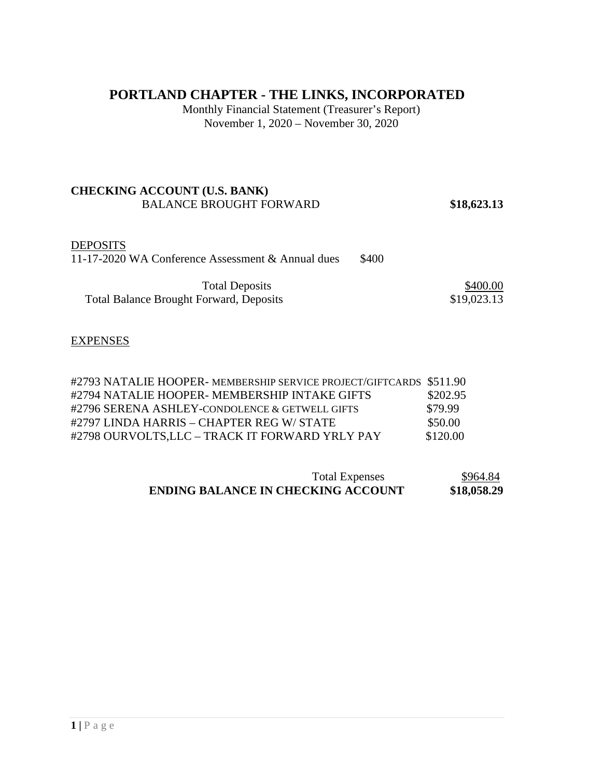# **PORTLAND CHAPTER - THE LINKS, INCORPORATED**

Monthly Financial Statement (Treasurer's Report) November 1, 2020 – November 30, 2020

### **CHECKING ACCOUNT (U.S. BANK)**  BALANCE BROUGHT FORWARD **\$18,623.13**

### DEPOSITS

11-17-2020 WA Conference Assessment & Annual dues \$400

| <b>Total Deposits</b>                          | \$400.00    |
|------------------------------------------------|-------------|
| <b>Total Balance Brought Forward, Deposits</b> | \$19,023.13 |

### **EXPENSES**

| #2793 NATALIE HOOPER- MEMBERSHIP SERVICE PROJECT/GIFTCARDS \$511.90 |          |
|---------------------------------------------------------------------|----------|
| #2794 NATALIE HOOPER- MEMBERSHIP INTAKE GIFTS                       | \$202.95 |
| #2796 SERENA ASHLEY-CONDOLENCE & GETWELL GIFTS                      | \$79.99  |
| #2797 LINDA HARRIS – CHAPTER REG W/ STATE                           | \$50.00  |
| #2798 OURVOLTS, LLC - TRACK IT FORWARD YRLY PAY                     | \$120.00 |

| <b>Total Expenses</b>                     | \$964.84    |
|-------------------------------------------|-------------|
| <b>ENDING BALANCE IN CHECKING ACCOUNT</b> | \$18,058.29 |